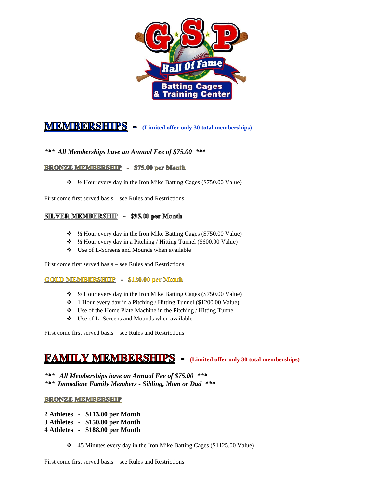

# **MEMBERSHIPS** - (Limited offer only 30 total memberships)

## *\*\*\* All Memberships have an Annual Fee of \$75.00 \*\*\**

### **BRONZE MEMBERSHIP - \$75.00 per Month**

❖ ½ Hour every day in the Iron Mike Batting Cages (\$750.00 Value)

First come first served basis – see Rules and Restrictions

### SILVER MEMBERSHIP - \$95.00 per Month

- ❖ ½ Hour every day in the Iron Mike Batting Cages (\$750.00 Value)
- ❖ ½ Hour every day in a Pitching / Hitting Tunnel (\$600.00 Value)
- ❖ Use of L-Screens and Mounds when available

First come first served basis – see Rules and Restrictions

#### GOLD MEMBERSHIIIP - \$120.00 per Month

- ❖ ½ Hour every day in the Iron Mike Batting Cages (\$750.00 Value)
- ❖ 1 Hour every day in a Pitching / Hitting Tunnel (\$1200.00 Value)
- ❖ Use of the Home Plate Machine in the Pitching / Hitting Tunnel
- ❖ Use of L- Screens and Mounds when available

First come first served basis – see Rules and Restrictions

## **FAMILY MEMBERSHIPS**

**(Limited offer only 30 total memberships)**

*\*\*\* All Memberships have an Annual Fee of \$75.00 \*\*\* \*\*\* Immediate Family Members - Sibling, Mom or Dad \*\*\**

#### **BRONZE MEMBERSHIP**

- **2 Athletes \$113.00 per Month**
- **3 Athletes \$150.00 per Month**
- **4 Athletes \$188.00 per Month**
	- ❖ 45 Minutes every day in the Iron Mike Batting Cages (\$1125.00 Value)